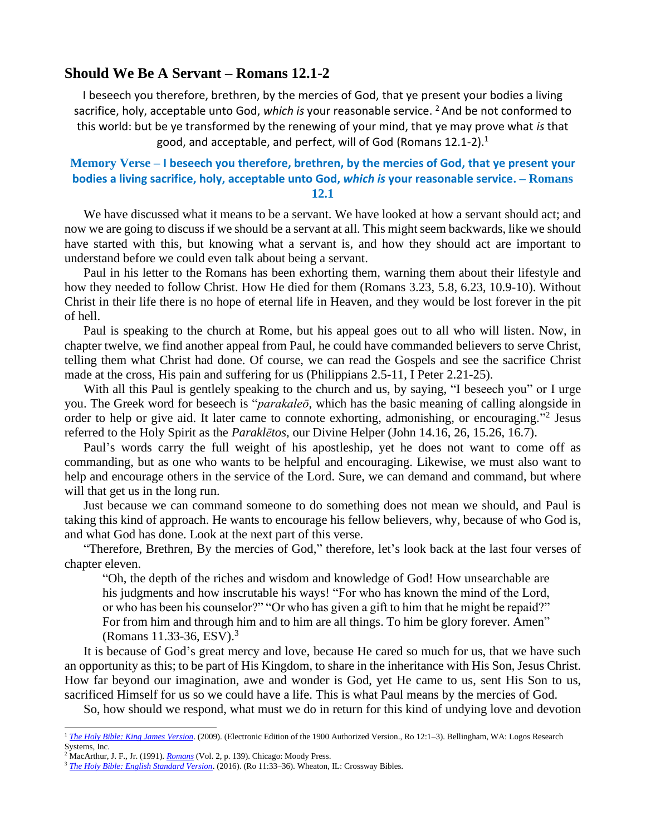## **Should We Be A Servant – Romans 12.1-2**

I beseech you therefore, brethren, by the mercies of God, that ye present your bodies a living sacrifice, holy, acceptable unto God, *which is* your reasonable service. <sup>2</sup> And be not conformed to this world: but be ye transformed by the renewing of your mind, that ye may prove what *is* that good, and acceptable, and perfect, will of God (Romans 12.1-2).<sup>1</sup>

## **Memory Verse – I beseech you therefore, brethren, by the mercies of God, that ye present your bodies a living sacrifice, holy, acceptable unto God,** *which is* **your reasonable service. – Romans 12.1**

We have discussed what it means to be a servant. We have looked at how a servant should act; and now we are going to discuss if we should be a servant at all. This might seem backwards, like we should have started with this, but knowing what a servant is, and how they should act are important to understand before we could even talk about being a servant.

Paul in his letter to the Romans has been exhorting them, warning them about their lifestyle and how they needed to follow Christ. How He died for them (Romans 3.23, 5.8, 6.23, 10.9-10). Without Christ in their life there is no hope of eternal life in Heaven, and they would be lost forever in the pit of hell.

Paul is speaking to the church at Rome, but his appeal goes out to all who will listen. Now, in chapter twelve, we find another appeal from Paul, he could have commanded believers to serve Christ, telling them what Christ had done. Of course, we can read the Gospels and see the sacrifice Christ made at the cross, His pain and suffering for us (Philippians 2.5-11, I Peter 2.21-25).

With all this Paul is gentlely speaking to the church and us, by saying, "I beseech you" or I urge you. The Greek word for beseech is "*parakaleō*, which has the basic meaning of calling alongside in order to help or give aid. It later came to connote exhorting, admonishing, or encouraging."<sup>2</sup> Jesus referred to the Holy Spirit as the *Paraklētos*, our Divine Helper (John 14.16, 26, 15.26, 16.7).

Paul's words carry the full weight of his apostleship, yet he does not want to come off as commanding, but as one who wants to be helpful and encouraging. Likewise, we must also want to help and encourage others in the service of the Lord. Sure, we can demand and command, but where will that get us in the long run.

Just because we can command someone to do something does not mean we should, and Paul is taking this kind of approach. He wants to encourage his fellow believers, why, because of who God is, and what God has done. Look at the next part of this verse.

"Therefore, Brethren, By the mercies of God," therefore, let's look back at the last four verses of chapter eleven.

"Oh, the depth of the riches and wisdom and knowledge of God! How unsearchable are his judgments and how inscrutable his ways! "For who has known the mind of the Lord, or who has been his counselor?" "Or who has given a gift to him that he might be repaid?" For from him and through him and to him are all things. To him be glory forever. Amen" (Romans 11.33-36, ESV). 3

It is because of God's great mercy and love, because He cared so much for us, that we have such an opportunity as this; to be part of His Kingdom, to share in the inheritance with His Son, Jesus Christ. How far beyond our imagination, awe and wonder is God, yet He came to us, sent His Son to us, sacrificed Himself for us so we could have a life. This is what Paul means by the mercies of God.

So, how should we respond, what must we do in return for this kind of undying love and devotion

<sup>1</sup> *[The Holy Bible: King James](https://ref.ly/logosres/kjv1900?ref=BibleKJV.Ro12.1&off=0&ctx=12+~I+a%EF%BB%BFbeseech+you+therefore%2c+brethren%2c+) Version*. (2009). (Electronic Edition of the 1900 Authorized Version., Ro 12:1–3). Bellingham, WA: Logos Research Systems, Inc.

<sup>2</sup> MacArthur, J. F., Jr. (1991). *[Romans](https://ref.ly/logosres/rommntc?ref=Bible.Ro12.1a&off=107&ctx=12%3a1a)%0aUrge+is+from+~parakaleo%CC%84%2c+which+ha)* (Vol. 2, p. 139). Chicago: Moody Press.

<sup>3</sup> *[The Holy Bible: English Standard Version](https://ref.ly/logosres/esv?ref=BibleESV.Ro11.33&off=3&ctx=e+mercy+on+all.+%0a33%C2%A0~Oh%2c+the+depth+of+the)*. (2016). (Ro 11:33–36). Wheaton, IL: Crossway Bibles.